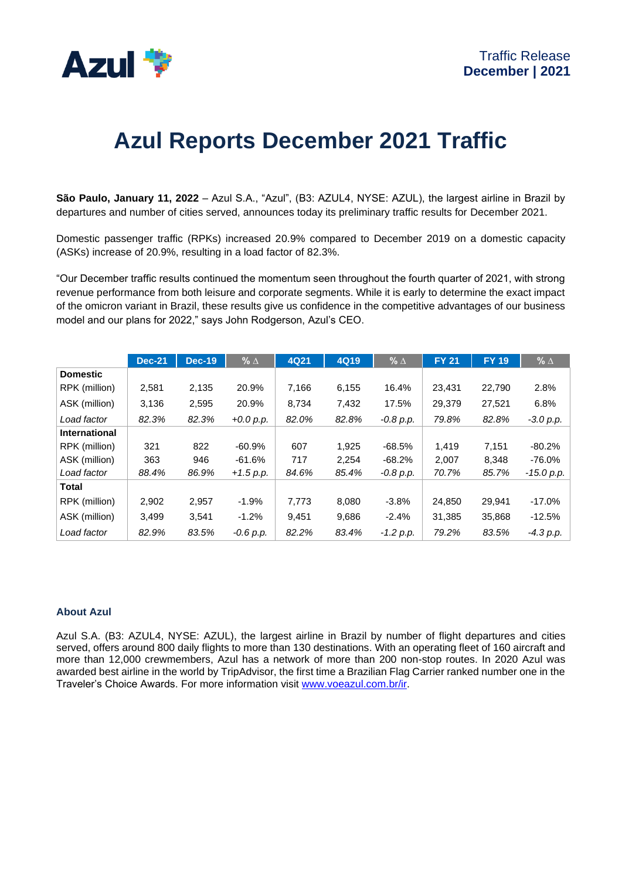

# **Azul Reports December 2021 Traffic**

**São Paulo, January 11, 2022** – Azul S.A., "Azul", (B3: AZUL4, NYSE: AZUL), the largest airline in Brazil by departures and number of cities served, announces today its preliminary traffic results for December 2021.

Domestic passenger traffic (RPKs) increased 20.9% compared to December 2019 on a domestic capacity (ASKs) increase of 20.9%, resulting in a load factor of 82.3%.

"Our December traffic results continued the momentum seen throughout the fourth quarter of 2021, with strong revenue performance from both leisure and corporate segments. While it is early to determine the exact impact of the omicron variant in Brazil, these results give us confidence in the competitive advantages of our business model and our plans for 2022," says John Rodgerson, Azul's CEO.

|                 | <b>Dec-21</b> | <b>Dec-19</b> | $% \Delta$  | 4Q21  | <b>4Q19</b> | % $\Delta$  | <b>FY 21</b> | <b>FY 19</b> | % $\Delta$  |
|-----------------|---------------|---------------|-------------|-------|-------------|-------------|--------------|--------------|-------------|
| <b>Domestic</b> |               |               |             |       |             |             |              |              |             |
| RPK (million)   | 2,581         | 2,135         | 20.9%       | 7,166 | 6,155       | 16.4%       | 23,431       | 22,790       | 2.8%        |
| ASK (million)   | 3,136         | 2,595         | 20.9%       | 8,734 | 7,432       | 17.5%       | 29,379       | 27,521       | 6.8%        |
| Load factor     | 82.3%         | 82.3%         | $+0.0 p.p.$ | 82.0% | 82.8%       | -0.8 p.p.   | 79.8%        | 82.8%        | $-3.0 p.p.$ |
| International   |               |               |             |       |             |             |              |              |             |
| RPK (million)   | 321           | 822           | $-60.9%$    | 607   | 1.925       | $-68.5%$    | 1.419        | 7.151        | $-80.2%$    |
| ASK (million)   | 363           | 946           | -61.6%      | 717   | 2.254       | $-68.2%$    | 2,007        | 8.348        | $-76.0\%$   |
| Load factor     | 88.4%         | 86.9%         | $+1.5 p.p.$ | 84.6% | 85.4%       | -0.8 p.p.   | 70.7%        | 85.7%        | -15.0 p.p.  |
| Total           |               |               |             |       |             |             |              |              |             |
| RPK (million)   | 2,902         | 2,957         | $-1.9%$     | 7,773 | 8,080       | $-3.8%$     | 24,850       | 29,941       | $-17.0%$    |
| ASK (million)   | 3.499         | 3,541         | $-1.2%$     | 9,451 | 9,686       | $-2.4%$     | 31,385       | 35,868       | $-12.5%$    |
| Load factor     | 82.9%         | 83.5%         | $-0.6 p.p.$ | 82.2% | 83.4%       | $-1.2 p.p.$ | 79.2%        | 83.5%        | $-4.3 p.p.$ |

## **About Azul**

Azul S.A. (B3: AZUL4, NYSE: AZUL), the largest airline in Brazil by number of flight departures and cities served, offers around 800 daily flights to more than 130 destinations. With an operating fleet of 160 aircraft and more than 12,000 crewmembers, Azul has a network of more than 200 non-stop routes. In 2020 Azul was awarded best airline in the world by TripAdvisor, the first time a Brazilian Flag Carrier ranked number one in the Traveler's Choice Awards. For more information visit [www.voeazul.com.br/ir.](http://www.voeazul.com.br/ir)